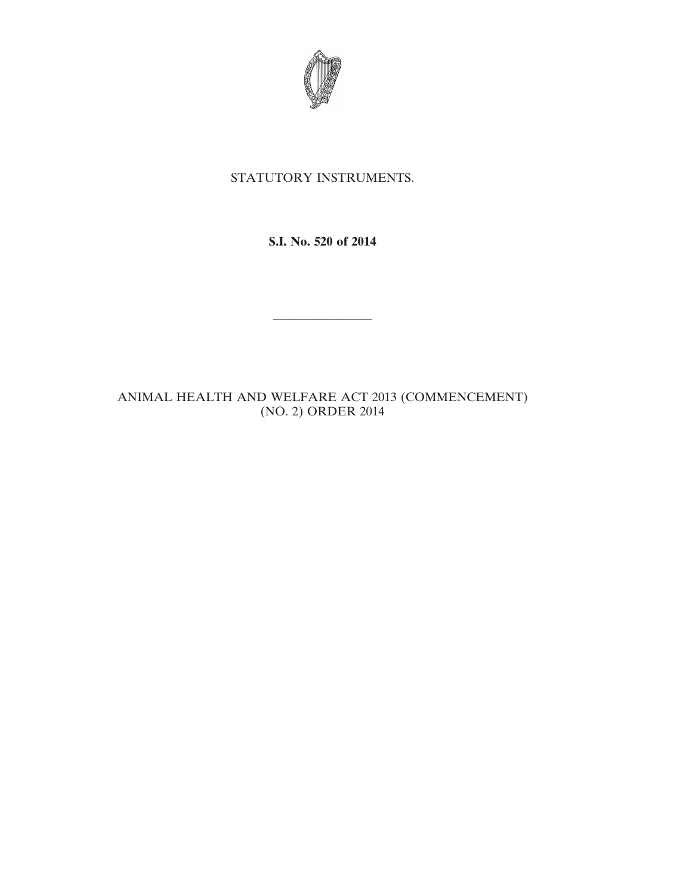

## STATUTORY INSTRUMENTS.

**S.I. No. 520 of 2014**

————————

ANIMAL HEALTH AND WELFARE ACT 2013 (COMMENCEMENT) (NO. 2) ORDER 2014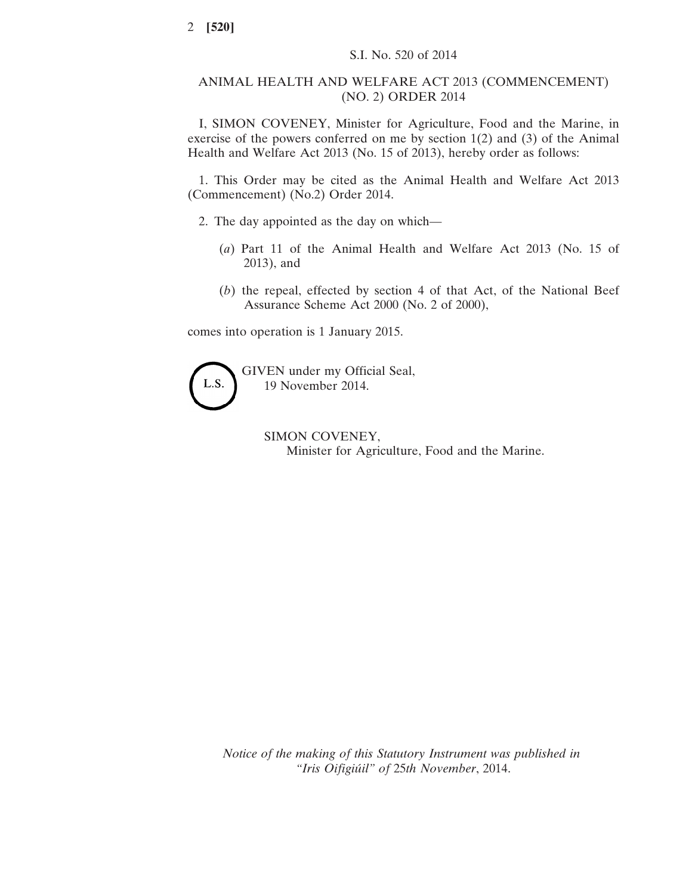## ANIMAL HEALTH AND WELFARE ACT 2013 (COMMENCEMENT) (NO. 2) ORDER 2014

I, SIMON COVENEY, Minister for Agriculture, Food and the Marine, in exercise of the powers conferred on me by section 1(2) and (3) of the Animal Health and Welfare Act 2013 (No. 15 of 2013), hereby order as follows:

1. This Order may be cited as the Animal Health and Welfare Act 2013 (Commencement) (No.2) Order 2014.

2. The day appointed as the day on which—

- (*a*) Part 11 of the Animal Health and Welfare Act 2013 (No. 15 of 2013), and
- (*b*) the repeal, effected by section 4 of that Act, of the National Beef Assurance Scheme Act 2000 (No. 2 of 2000),

comes into operation is 1 January 2015.

L.S.

GIVEN under my Official Seal, 19 November 2014.

> SIMON COVENEY, Minister for Agriculture, Food and the Marine.

*Notice of the making of this Statutory Instrument was published in "Iris Oifigiúil" of* 25*th November*, 2014.